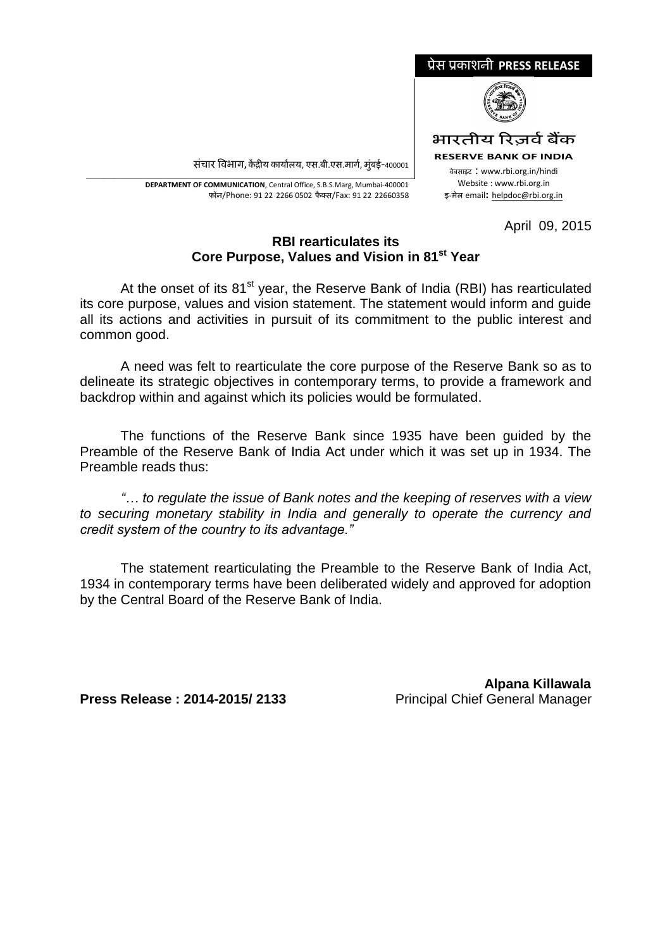

<u>संचार विभाग, केंद्रीय कार्यालय, एस.बी.एस.मार्ग, मुंबई-400001</u>

\_\_\_\_\_\_\_\_\_\_\_\_\_\_\_\_\_\_\_\_\_\_\_\_\_\_\_\_\_\_\_\_\_\_\_\_\_\_\_\_\_\_\_\_\_\_\_\_\_\_\_\_\_\_\_\_\_\_\_\_\_\_\_\_\_\_\_\_\_\_\_\_\_\_\_\_\_\_\_\_\_\_\_\_\_\_\_\_\_\_\_\_\_\_\_\_\_\_\_\_\_\_\_\_\_\_\_\_\_\_\_\_\_\_\_\_\_ **DEPARTMENT OF COMMUNICATION**, Central Office, S.B.S.Marg, Mumbai-400001 फोन/Phone: 91 22 2266 0502 फै क्स/Fax: 91 22 22660358

#### April 09, 2015

# **RBI rearticulates its Core Purpose, Values and Vision in 81st Year**

At the onset of its  $81<sup>st</sup>$  year, the Reserve Bank of India (RBI) has rearticulated its core purpose, values and vision statement. The statement would inform and guide all its actions and activities in pursuit of its commitment to the public interest and common good.

A need was felt to rearticulate the core purpose of the Reserve Bank so as to delineate its strategic objectives in contemporary terms, to provide a framework and backdrop within and against which its policies would be formulated.

The functions of the Reserve Bank since 1935 have been guided by the Preamble of the Reserve Bank of India Act under which it was set up in 1934. The Preamble reads thus:

*"… to regulate the issue of Bank notes and the keeping of reserves with a view to securing monetary stability in India and generally to operate the currency and credit system of the country to its advantage."*

The statement rearticulating the Preamble to the Reserve Bank of India Act, 1934 in contemporary terms have been deliberated widely and approved for adoption by the Central Board of the Reserve Bank of India.

**Press Release : 2014-2015/ 2133** Principal Chief General Manager

 **Alpana Killawala**